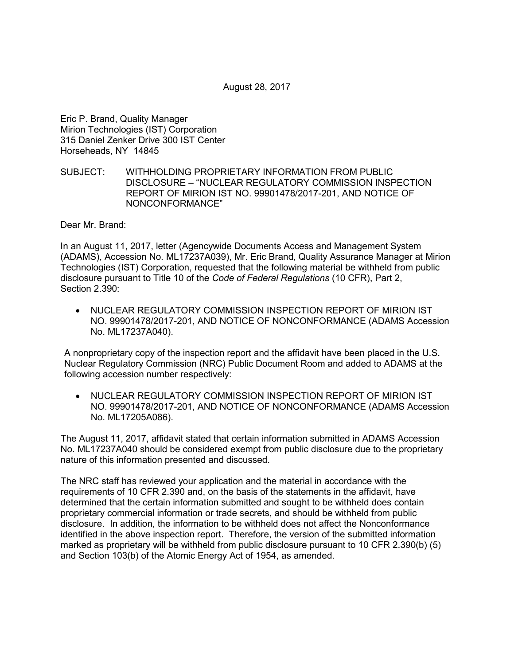August 28, 2017

Eric P. Brand, Quality Manager Mirion Technologies (IST) Corporation 315 Daniel Zenker Drive 300 IST Center Horseheads, NY 14845

## SUBJECT: WITHHOLDING PROPRIETARY INFORMATION FROM PUBLIC DISCLOSURE – "NUCLEAR REGULATORY COMMISSION INSPECTION REPORT OF MIRION IST NO. 99901478/2017-201, AND NOTICE OF NONCONFORMANCE"

Dear Mr. Brand:

In an August 11, 2017, letter (Agencywide Documents Access and Management System (ADAMS), Accession No. ML17237A039), Mr. Eric Brand, Quality Assurance Manager at Mirion Technologies (IST) Corporation, requested that the following material be withheld from public disclosure pursuant to Title 10 of the *Code of Federal Regulations* (10 CFR), Part 2, Section 2.390:

• NUCLEAR REGULATORY COMMISSION INSPECTION REPORT OF MIRION IST NO. 99901478/2017-201, AND NOTICE OF NONCONFORMANCE (ADAMS Accession No. ML17237A040).

A nonproprietary copy of the inspection report and the affidavit have been placed in the U.S. Nuclear Regulatory Commission (NRC) Public Document Room and added to ADAMS at the following accession number respectively:

• NUCLEAR REGULATORY COMMISSION INSPECTION REPORT OF MIRION IST NO. 99901478/2017-201, AND NOTICE OF NONCONFORMANCE (ADAMS Accession No. ML17205A086).

The August 11, 2017, affidavit stated that certain information submitted in ADAMS Accession No. ML17237A040 should be considered exempt from public disclosure due to the proprietary nature of this information presented and discussed.

The NRC staff has reviewed your application and the material in accordance with the requirements of 10 CFR 2.390 and, on the basis of the statements in the affidavit, have determined that the certain information submitted and sought to be withheld does contain proprietary commercial information or trade secrets, and should be withheld from public disclosure. In addition, the information to be withheld does not affect the Nonconformance identified in the above inspection report. Therefore, the version of the submitted information marked as proprietary will be withheld from public disclosure pursuant to 10 CFR 2.390(b) (5) and Section 103(b) of the Atomic Energy Act of 1954, as amended.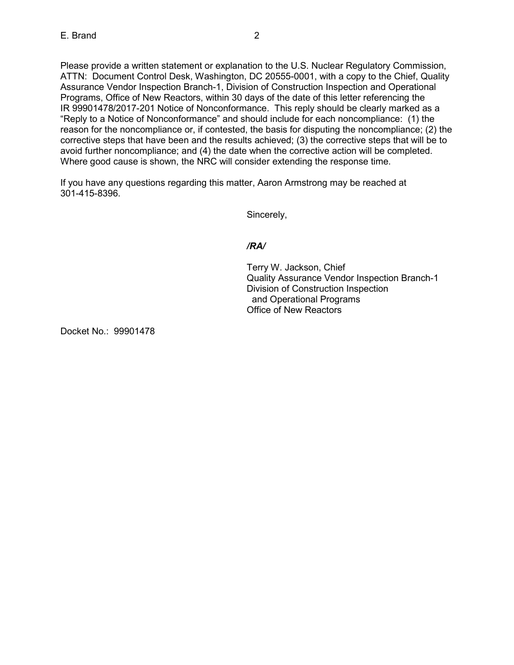Please provide a written statement or explanation to the U.S. Nuclear Regulatory Commission, ATTN: Document Control Desk, Washington, DC 20555-0001, with a copy to the Chief, Quality Assurance Vendor Inspection Branch-1, Division of Construction Inspection and Operational Programs, Office of New Reactors, within 30 days of the date of this letter referencing the IR 99901478/2017-201 Notice of Nonconformance. This reply should be clearly marked as a "Reply to a Notice of Nonconformance" and should include for each noncompliance: (1) the reason for the noncompliance or, if contested, the basis for disputing the noncompliance; (2) the corrective steps that have been and the results achieved; (3) the corrective steps that will be to avoid further noncompliance; and (4) the date when the corrective action will be completed. Where good cause is shown, the NRC will consider extending the response time.

If you have any questions regarding this matter, Aaron Armstrong may be reached at 301-415-8396.

Sincerely,

## */RA/*

Terry W. Jackson, Chief Quality Assurance Vendor Inspection Branch-1 Division of Construction Inspection and Operational Programs Office of New Reactors

Docket No.: 99901478